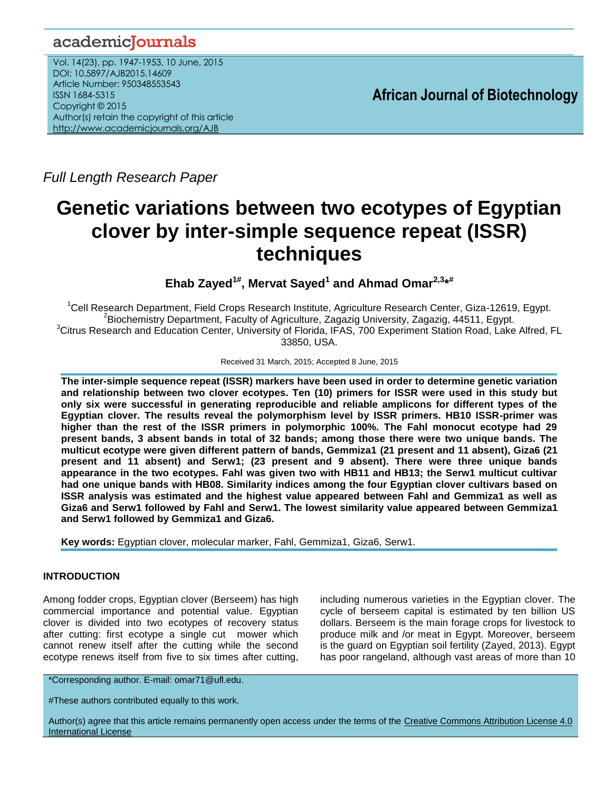# academicJournals

Vol. 14(23), pp. 1947-1953, 10 June, 2015 DOI: 10.5897/AJB2015.14609 Article Number: 950348553543 ISSN 1684-5315 Copyright © 2015 Author(s) retain the copyright of this article <http://www.academicjournals.org/AJB>

**African Journal of Biotechnology**

*Full Length Research Paper*

# **Genetic variations between two ecotypes of Egyptian clover by inter-simple sequence repeat (ISSR) techniques**

**Ehab Zayed1# , Mervat Sayed<sup>1</sup> and Ahmad Omar2,3\* #**

<sup>1</sup>Cell Research Department, Field Crops Research Institute, Agriculture Research Center, Giza-12619, Egypt.  ${}^{2}$ Biochemistry Department, Faculty of Agriculture, Zagazig University, Zagazig, 44511, Egypt.  ${}^{3}$ Citrus Research and Education Center, University of Florida, IFAS, 700 Experiment Station Road, Lake Alfred, FL 33850, USA.

Received 31 March, 2015; Accepted 8 June, 2015

**The inter-simple sequence repeat (ISSR) markers have been used in order to determine genetic variation and relationship between two clover ecotypes. Ten (10) primers for ISSR were used in this study but only six were successful in generating reproducible and reliable amplicons for different types of the Egyptian clover. The results reveal the polymorphism level by ISSR primers. HB10 ISSR-primer was higher than the rest of the ISSR primers in polymorphic 100%. The Fahl monocut ecotype had 29 present bands, 3 absent bands in total of 32 bands; among those there were two unique bands. The multicut ecotype were given different pattern of bands, Gemmiza1 (21 present and 11 absent), Giza6 (21 present and 11 absent) and Serw1; (23 present and 9 absent). There were three unique bands appearance in the two ecotypes. Fahl was given two with HB11 and HB13; the Serw1 multicut cultivar had one unique bands with HB08. Similarity indices among the four Egyptian clover cultivars based on ISSR analysis was estimated and the highest value appeared between Fahl and Gemmiza1 as well as Giza6 and Serw1 followed by Fahl and Serw1. The lowest similarity value appeared between Gemmiza1 and Serw1 followed by Gemmiza1 and Giza6.**

**Key words:** Egyptian clover, molecular marker, Fahl, Gemmiza1, Giza6, Serw1.

# **INTRODUCTION**

Among fodder crops, Egyptian clover (Berseem) has high commercial importance and potential value. Egyptian clover is divided into two ecotypes of recovery status after cutting: first ecotype a single cut mower which cannot renew itself after the cutting while the second ecotype renews itself from five to six times after cutting,

including numerous varieties in the Egyptian clover. The cycle of berseem capital is estimated by ten billion US dollars. Berseem is the main forage crops for livestock to produce milk and /or meat in Egypt. Moreover, berseem is the guard on Egyptian soil fertility (Zayed, 2013). Egypt has poor rangeland, although vast areas of more than 10

\*Corresponding author. E-mail: omar71@ufl.edu.

#These authors contributed equally to this work.

Author(s) agree that this article remains permanently open access under the terms of the Creative Commons Attribution License 4.0 [International License](http://creativecommons.org/licenses/by/4.0/deed.en_US)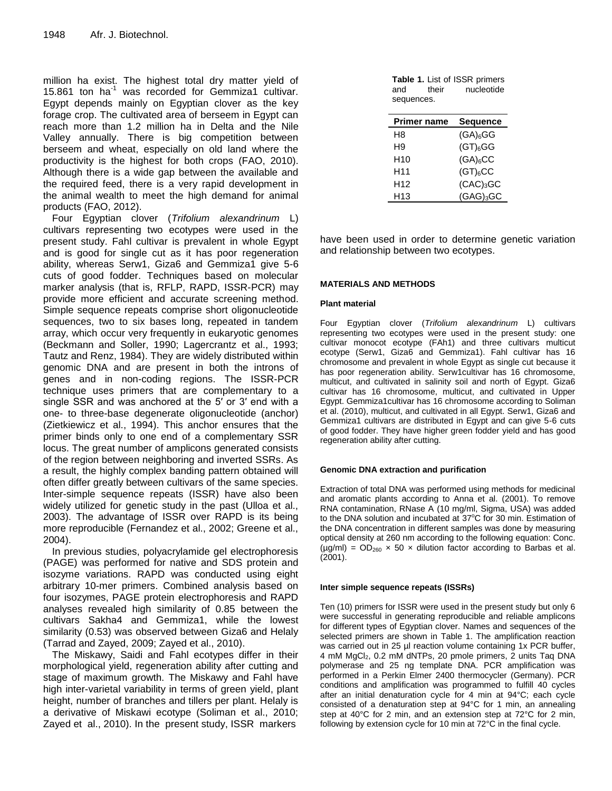million ha exist. The highest total dry matter yield of 15.861 ton ha<sup>-1</sup> was recorded for Gemmiza1 cultivar. Egypt depends mainly on Egyptian clover as the key forage crop. The cultivated area of berseem in Egypt can reach more than 1.2 million ha in Delta and the Nile Valley annually. There is big competition between berseem and wheat, especially on old land where the productivity is the highest for both crops (FAO, 2010). Although there is a wide gap between the available and the required feed, there is a very rapid development in the animal wealth to meet the high demand for animal products (FAO, 2012).

Four Egyptian clover (*Trifolium alexandrinum* L) cultivars representing two ecotypes were used in the present study. Fahl cultivar is prevalent in whole Egypt and is good for single cut as it has poor regeneration ability, whereas Serw1, Giza6 and Gemmiza1 give 5-6 cuts of good fodder. Techniques based on molecular marker analysis (that is, RFLP, RAPD, ISSR-PCR) may provide more efficient and accurate screening method. Simple sequence repeats comprise short oligonucleotide sequences, two to six bases long, repeated in tandem array, which occur very frequently in eukaryotic genomes (Beckmann and Soller, 1990; Lagercrantz et al., 1993; Tautz and Renz, 1984). They are widely distributed within genomic DNA and are present in both the introns of genes and in non-coding regions. The ISSR-PCR technique uses primers that are complementary to a single SSR and was anchored at the 5′ or 3′ end with a one- to three-base degenerate oligonucleotide (anchor) (Zietkiewicz et al., 1994). This anchor ensures that the primer binds only to one end of a complementary SSR locus. The great number of amplicons generated consists of the region between neighboring and inverted SSRs. As a result, the highly complex banding pattern obtained will often differ greatly between cultivars of the same species. Inter-simple sequence repeats (ISSR) have also been widely utilized for genetic study in the past (Ulloa et al., 2003). The advantage of ISSR over RAPD is its being more reproducible (Fernandez et al., 2002; Greene et al., 2004).

In previous studies, polyacrylamide gel electrophoresis (PAGE) was performed for native and SDS protein and isozyme variations. RAPD was conducted using eight arbitrary 10-mer primers. Combined analysis based on four isozymes, PAGE protein electrophoresis and RAPD analyses revealed high similarity of 0.85 between the cultivars Sakha4 and Gemmiza1, while the lowest similarity (0.53) was observed between Giza6 and Helaly (Tarrad and Zayed, 2009; Zayed et al., 2010).

The Miskawy, Saidi and Fahl ecotypes differ in their morphological yield, regeneration ability after cutting and stage of maximum growth. The Miskawy and Fahl have high inter-varietal variability in terms of green yield, plant height, number of branches and tillers per plant. Helaly is a derivative of Miskawi ecotype (Soliman et al., 2010; Zayed et al., 2010). In the present study, ISSR markers

|            |       | <b>Table 1. List of ISSR primers</b> |
|------------|-------|--------------------------------------|
| and        | their | nucleotide                           |
| sequences. |       |                                      |

| <b>Sequence</b>       |
|-----------------------|
| $(GA)_{6}GG$          |
| $(GT)_{6}GG$          |
| $(GA)_6CC$            |
| $(GT)_{6}CC$          |
| (CAC) <sub>3</sub> GC |
| $(GAG)_3GC$           |
|                       |

have been used in order to determine genetic variation and relationship between two ecotypes.

#### **MATERIALS AND METHODS**

#### **Plant material**

Four Egyptian clover (*Trifolium alexandrinum* L) cultivars representing two ecotypes were used in the present study: one cultivar monocot ecotype (FAh1) and three cultivars multicut ecotype (Serw1, Giza6 and Gemmiza1). Fahl cultivar has 16 chromosome and prevalent in whole Egypt as single cut because it has poor regeneration ability. Serw1cultivar has 16 chromosome, multicut, and cultivated in salinity soil and north of Egypt. Giza6 cultivar has 16 chromosome, multicut, and cultivated in Upper Egypt. Gemmiza1cultivar has 16 chromosome according to Soliman et al. [\(2010\)](l%20), multicut, and cultivated in all Egypt. Serw1, Giza6 and Gemmiza1 cultivars are distributed in Egypt and can give 5-6 cuts of good fodder. They have higher green fodder yield and has good regeneration ability after cutting.

#### **Genomic DNA extraction and purification**

Extraction of total DNA was performed using methods for medicinal and aromatic plants according to Anna et al. (2001). To remove RNA contamination, RNase A (10 mg/ml, Sigma, USA) was added to the DNA solution and incubated at  $37^{\circ}$ C for 30 min. Estimation of the DNA concentration in different samples was done by measuring optical density at 260 nm according to the following equation: Conc.  $(\mu g/ml) = OD_{260} \times 50 \times$  dilution factor according to Barbas et al. [\(2001\)](l%20).

#### **Inter simple sequence repeats (ISSRs)**

Ten (10) primers for ISSR were used in the present study but only 6 were successful in generating reproducible and reliable amplicons for different types of Egyptian clover. Names and sequences of the selected primers are shown in Table 1. The amplification reaction was carried out in 25 µl reaction volume containing 1x PCR buffer, 4 mM MgCl<sub>2</sub>, 0.2 mM dNTPs, 20 pmole primers, 2 units Taq DNA polymerase and 25 ng template DNA. PCR amplification was performed in a Perkin Elmer 2400 thermocycler (Germany). PCR conditions and amplification was programmed to fulfill 40 cycles after an initial denaturation cycle for 4 min at 94°C; each cycle consisted of a denaturation step at 94°C for 1 min, an annealing step at 40°C for 2 min, and an extension step at 72°C for 2 min, following by extension cycle for 10 min at 72°C in the final cycle.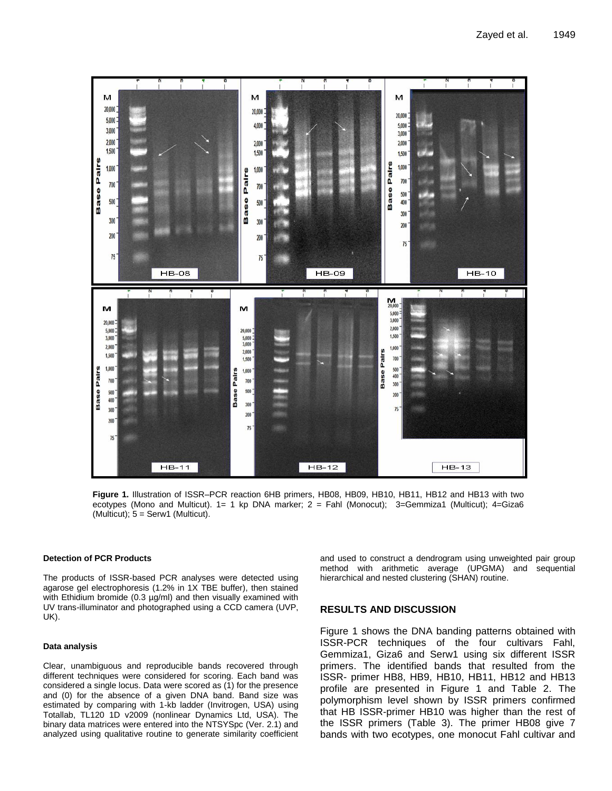

**Figure 1.** Illustration of ISSR–PCR reaction 6HB primers, HB08, HB09, HB10, HB11, HB12 and HB13 with two ecotypes (Mono and Multicut). 1= 1 kp DNA marker; 2 = Fahl (Monocut); 3=Gemmiza1 (Multicut); 4=Giza6  $(Multicut); 5 = Serv1 (Multicut).$ 

#### **Detection of PCR Products**

The products of ISSR-based PCR analyses were detected using agarose gel electrophoresis (1.2% in 1X TBE buffer), then stained with Ethidium bromide (0.3 µg/ml) and then visually examined with UV trans-illuminator and photographed using a CCD camera (UVP, UK).

#### **Data analysis**

Clear, unambiguous and reproducible bands recovered through different techniques were considered for scoring. Each band was considered a single locus. Data were scored as (1) for the presence and (0) for the absence of a given DNA band. Band size was estimated by comparing with 1-kb ladder (Invitrogen, USA) using Totallab, TL120 1D v2009 (nonlinear Dynamics Ltd, USA). The binary data matrices were entered into the NTSYSpc (Ver. 2.1) and analyzed using qualitative routine to generate similarity coefficient and used to construct a dendrogram using unweighted pair group method with arithmetic average (UPGMA) and sequential hierarchical and nested clustering (SHAN) routine.

#### **RESULTS AND DISCUSSION**

Figure 1 shows the DNA banding patterns obtained with ISSR-PCR techniques of the four cultivars Fahl, Gemmiza1, Giza6 and Serw1 using six different ISSR primers. The identified bands that resulted from the ISSR- primer HB8, HB9, HB10, HB11, HB12 and HB13 profile are presented in Figure 1 and Table 2. The polymorphism level shown by ISSR primers confirmed that HB ISSR-primer HB10 was higher than the rest of the ISSR primers (Table 3). The primer HB08 give 7 bands with two ecotypes, one monocut Fahl cultivar and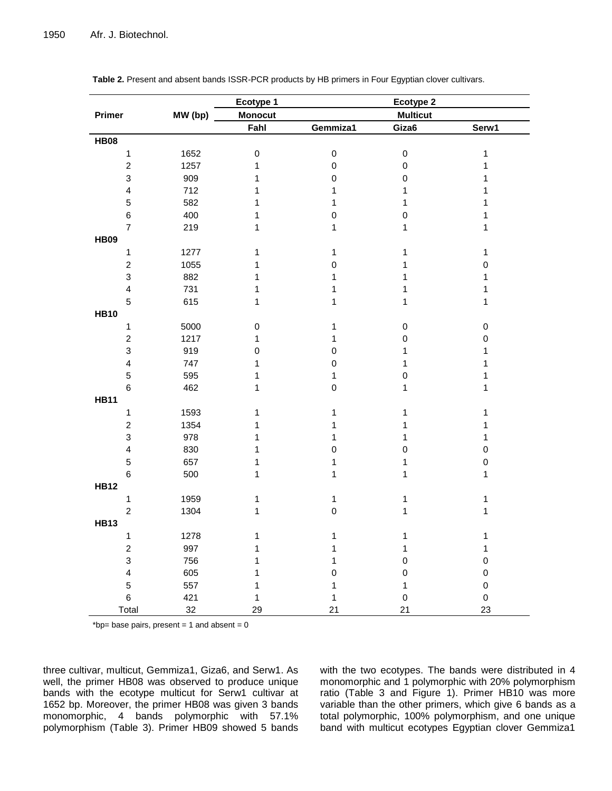|                         |         | Ecotype 1      |              | Ecotype 2       |              |
|-------------------------|---------|----------------|--------------|-----------------|--------------|
| Primer                  | MW (bp) | <b>Monocut</b> |              | <b>Multicut</b> |              |
|                         |         | Fahl           | Gemmiza1     | Giza6           | Serw1        |
| <b>HB08</b>             |         |                |              |                 |              |
| $\mathbf{1}$            | 1652    | $\pmb{0}$      | $\pmb{0}$    | $\pmb{0}$       | $\mathbf{1}$ |
| $\boldsymbol{2}$        | 1257    | 1              | $\mathbf 0$  | $\pmb{0}$       | $\mathbf 1$  |
| 3                       | 909     | $\mathbf 1$    | $\pmb{0}$    | $\pmb{0}$       | $\mathbf 1$  |
| $\overline{4}$          | 712     | $\mathbf 1$    | 1            | 1               | 1            |
| $\mathbf 5$             | 582     | $\mathbf 1$    | 1            | 1               | 1            |
| $\,6$                   | 400     | $\mathbf 1$    | $\pmb{0}$    | $\pmb{0}$       | 1            |
| $\overline{7}$          | 219     | $\mathbf{1}$   | 1            | 1               | 1            |
| <b>HB09</b>             |         |                |              |                 |              |
| $\mathbf{1}$            | 1277    | $\mathbf 1$    | 1            | 1               | $\mathbf{1}$ |
| $\boldsymbol{2}$        | 1055    | $\mathbf 1$    | $\pmb{0}$    | 1               | $\pmb{0}$    |
| $\mathsf 3$             | 882     | 1              | 1            | 1               | 1            |
| $\overline{\mathbf{4}}$ | 731     | $\mathbf 1$    | 1            | 1               | $\mathbf{1}$ |
| $\mathbf 5$             | 615     | $\mathbf 1$    | 1            | 1               | $\mathbf{1}$ |
| <b>HB10</b>             |         |                |              |                 |              |
| $\mathbf{1}$            | 5000    | 0              | 1            | $\pmb{0}$       | $\pmb{0}$    |
| $\boldsymbol{2}$        | 1217    | 1              | 1            | $\pmb{0}$       | $\pmb{0}$    |
| 3                       | 919     | $\pmb{0}$      | $\pmb{0}$    | 1               | 1            |
| $\overline{4}$          | 747     | 1              | $\pmb{0}$    | 1               | 1            |
| $\mathbf 5$             | 595     | 1              | 1            | $\pmb{0}$       | 1            |
| $\,6$                   | 462     | $\mathbf 1$    | $\pmb{0}$    | $\mathbf{1}$    | $\mathbf 1$  |
| <b>HB11</b>             |         |                |              |                 |              |
| $\mathbf{1}$            | 1593    | $\mathbf{1}$   | 1            | $\mathbf 1$     | $\mathbf 1$  |
| $\overline{\mathbf{c}}$ | 1354    | $\mathbf 1$    | 1            | 1               | $\mathbf 1$  |
| 3                       | 978     | $\mathbf 1$    | 1            | 1               | $\mathbf{1}$ |
| $\overline{\mathbf{4}}$ | 830     | $\mathbf 1$    | $\pmb{0}$    | $\pmb{0}$       | $\pmb{0}$    |
| $\mathbf 5$             | 657     | $\mathbf 1$    | 1            | 1               | $\mathbf 0$  |
| $\,6$                   | 500     | $\mathbf{1}$   | 1            | 1               | $\mathbf{1}$ |
| <b>HB12</b>             |         |                |              |                 |              |
| $\mathbf{1}$            | 1959    | $\mathbf{1}$   | 1            | 1               | $\mathbf{1}$ |
| $\boldsymbol{2}$        | 1304    | 1              | $\pmb{0}$    | 1               | $\mathbf{1}$ |
| <b>HB13</b>             |         |                |              |                 |              |
| $\mathbf{1}$            | 1278    | 1              | $\mathbf{1}$ | $\mathbf{1}$    | $\mathbf{1}$ |
| $\boldsymbol{2}$        | 997     | 1              | 1            | 1               | $\mathbf{1}$ |
| 3                       | 756     | 1              | 1            | $\mathsf 0$     | $\mathbf 0$  |
| $\overline{\mathbf{4}}$ | 605     | 1              | $\mathbf 0$  | 0               | $\pmb{0}$    |
| 5                       | 557     | 1              | 1            | 1               | $\pmb{0}$    |
| $\,6$                   | 421     | $\mathbf 1$    | $\mathbf{1}$ | $\pmb{0}$       | $\pmb{0}$    |
| Total                   | $32\,$  | 29             | 21           | 21              | 23           |

| Table 2. Present and absent bands ISSR-PCR products by HB primers in Four Egyptian clover cultivars. |  |  |  |
|------------------------------------------------------------------------------------------------------|--|--|--|
|------------------------------------------------------------------------------------------------------|--|--|--|

\*bp= base pairs, present = 1 and absent =  $0$ 

three cultivar, multicut, Gemmiza1, Giza6, and Serw1. As well, the primer HB08 was observed to produce unique bands with the ecotype multicut for Serw1 cultivar at 1652 bp. Moreover, the primer HB08 was given 3 bands monomorphic, 4 bands polymorphic with 57.1% polymorphism (Table 3). Primer HB09 showed 5 bands

with the two ecotypes. The bands were distributed in 4 monomorphic and 1 polymorphic with 20% polymorphism ratio (Table 3 and Figure 1). Primer HB10 was more variable than the other primers, which give 6 bands as a total polymorphic, 100% polymorphism, and one unique band with multicut ecotypes Egyptian clover Gemmiza1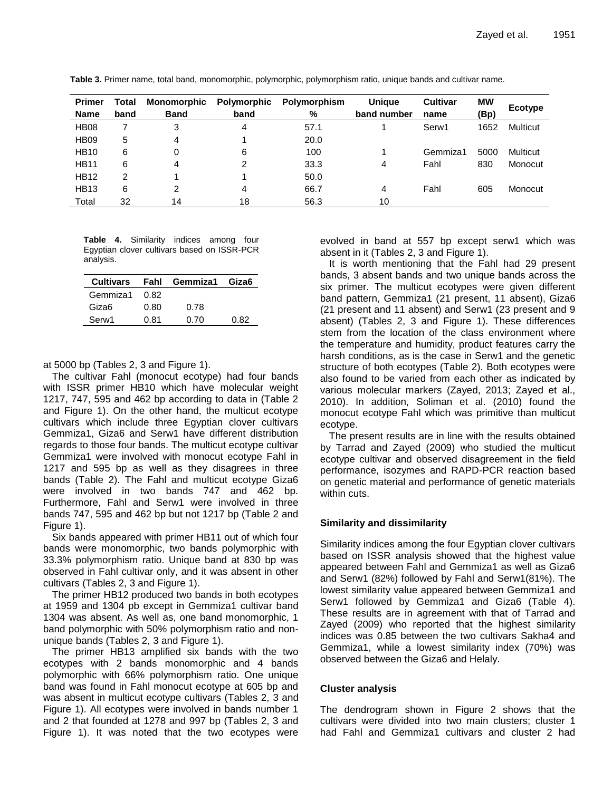| <b>Primer</b> | Total | Monomorphic | Polymorphic | Polymorphism | <b>Unique</b> | <b>Cultivar</b> | <b>MW</b> | Ecotype  |
|---------------|-------|-------------|-------------|--------------|---------------|-----------------|-----------|----------|
| <b>Name</b>   | band  | <b>Band</b> | band        | %            | band number   | name            | (Bp)      |          |
| <b>HB08</b>   |       | 3           | 4           | 57.1         |               | Serw1           | 1652      | Multicut |
| <b>HB09</b>   | 5     | 4           |             | 20.0         |               |                 |           |          |
| <b>HB10</b>   | 6     | 0           | 6           | 100          |               | Gemmiza1        | 5000      | Multicut |
| <b>HB11</b>   | 6     | 4           | 2           | 33.3         | 4             | Fahl            | 830       | Monocut  |
| <b>HB12</b>   | 2     |             |             | 50.0         |               |                 |           |          |
| <b>HB13</b>   | 6     | 2           | 4           | 66.7         | 4             | Fahl            | 605       | Monocut  |
| Total         | 32    | 14          | 18          | 56.3         | 10            |                 |           |          |

**Table 3.** Primer name, total band, monomorphic, polymorphic, polymorphism ratio, unique bands and cultivar name.

**Table 4.** Similarity indices among four Egyptian clover cultivars based on ISSR-PCR analysis.

|               |      | Cultivars Fahl Gemmiza1 Giza6 |      |
|---------------|------|-------------------------------|------|
| Gemmiza1 0.82 |      |                               |      |
| Giza6         | 0.80 | 0.78                          |      |
| Serw1         | 0.81 | 0.70                          | በ ጸ2 |

at 5000 bp (Tables 2, 3 and Figure 1).

The cultivar Fahl (monocut ecotype) had four bands with ISSR primer HB10 which have molecular weight 1217, 747, 595 and 462 bp according to data in (Table 2 and Figure 1). On the other hand, the multicut ecotype cultivars which include three Egyptian clover cultivars Gemmiza1, Giza6 and Serw1 have different distribution regards to those four bands. The multicut ecotype cultivar Gemmiza1 were involved with monocut ecotype Fahl in 1217 and 595 bp as well as they disagrees in three bands (Table 2). The Fahl and multicut ecotype Giza6 were involved in two bands 747 and 462 bp. Furthermore, Fahl and Serw1 were involved in three bands 747, 595 and 462 bp but not 1217 bp (Table 2 and Figure 1).

Six bands appeared with primer HB11 out of which four bands were monomorphic, two bands polymorphic with 33.3% polymorphism ratio. Unique band at 830 bp was observed in Fahl cultivar only, and it was absent in other cultivars (Tables 2, 3 and Figure 1).

The primer HB12 produced two bands in both ecotypes at 1959 and 1304 pb except in Gemmiza1 cultivar band 1304 was absent. As well as, one band monomorphic, 1 band polymorphic with 50% polymorphism ratio and nonunique bands (Tables 2, 3 and Figure 1).

The primer HB13 amplified six bands with the two ecotypes with 2 bands monomorphic and 4 bands polymorphic with 66% polymorphism ratio. One unique band was found in Fahl monocut ecotype at 605 bp and was absent in multicut ecotype cultivars (Tables 2, 3 and Figure 1). All ecotypes were involved in bands number 1 and 2 that founded at 1278 and 997 bp (Tables 2, 3 and Figure 1). It was noted that the two ecotypes were evolved in band at 557 bp except serw1 which was absent in it (Tables 2, 3 and Figure 1).

It is worth mentioning that the Fahl had 29 present bands, 3 absent bands and two unique bands across the six primer. The multicut ecotypes were given different band pattern, Gemmiza1 (21 present, 11 absent), Giza6 (21 present and 11 absent) and Serw1 (23 present and 9 absent) (Tables 2, 3 and Figure 1). These differences stem from the location of the class environment where the temperature and humidity, product features carry the harsh conditions, as is the case in Serw1 and the genetic structure of both ecotypes (Table 2). Both ecotypes were also found to be varied from each other as indicated by various molecular markers (Zayed, 2013; Zayed et al., 2010). In addition, Soliman et al. [\(2010\)](l%20) found the monocut ecotype Fahl which was primitive than multicut ecotype.

The present results are in line with the results obtained by Tarrad and Zayed (2009) who studied the multicut ecotype cultivar and observed disagreement in the field performance, isozymes and RAPD-PCR reaction based on genetic material and performance of genetic materials within cuts.

# **Similarity and dissimilarity**

Similarity indices among the four Egyptian clover cultivars based on ISSR analysis showed that the highest value appeared between Fahl and Gemmiza1 as well as Giza6 and Serw1 (82%) followed by Fahl and Serw1(81%). The lowest similarity value appeared between Gemmiza1 and Serw1 followed by Gemmiza1 and Giza6 (Table 4). These results are in agreement with that of Tarrad and Zayed (2009) who reported that the highest similarity indices was 0.85 between the two cultivars Sakha4 and Gemmiza1, while a lowest similarity index (70%) was observed between the Giza6 and Helaly.

# **Cluster analysis**

The dendrogram shown in Figure 2 shows that the cultivars were divided into two main clusters; cluster 1 had Fahl and Gemmiza1 cultivars and cluster 2 had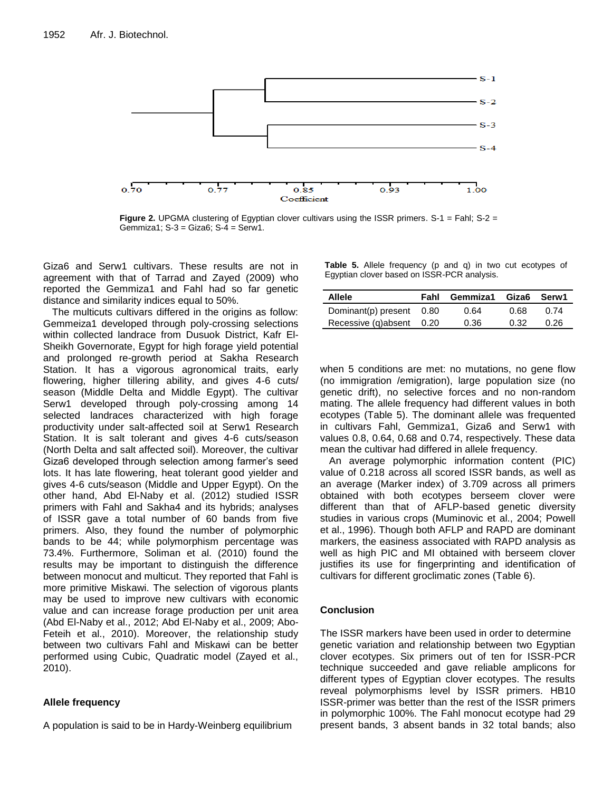

**Figure 2.** UPGMA clustering of Egyptian clover cultivars using the ISSR primers. S-1 = Fahl; S-2 = Gemmiza1; S-3 = Giza6; S-4 = Serw1.

Giza6 and Serw1 cultivars. These results are not in agreement with that of Tarrad and Zayed (2009) who reported the Gemmiza1 and Fahl had so far genetic distance and similarity indices equal to 50%.

The multicuts cultivars differed in the origins as follow: Gemmeiza1 developed through poly-crossing selections within collected landrace from Dusuok District, Kafr El-Sheikh Governorate, Egypt for high forage yield potential and prolonged re-growth period at Sakha Research Station. It has a vigorous agronomical traits, early flowering, higher tillering ability, and gives 4-6 cuts/ season (Middle Delta and Middle Egypt). The cultivar Serw1 developed through poly-crossing among 14 selected landraces characterized with high forage productivity under salt-affected soil at Serw1 Research Station. It is salt tolerant and gives 4-6 cuts/season (North Delta and salt affected soil). Moreover, the cultivar Giza6 developed through selection among farmer's seed lots. It has late flowering, heat tolerant good yielder and gives 4-6 cuts/season (Middle and Upper Egypt). On the other hand, Abd El-Naby et al. (2012) studied ISSR primers with Fahl and Sakha4 and its hybrids; analyses of ISSR gave a total number of 60 bands from five primers. Also, they found the number of polymorphic bands to be 44; while polymorphism percentage was 73.4%. Furthermore, Soliman et al. (2010) found the results may be important to distinguish the difference between monocut and multicut. They reported that Fahl is more primitive Miskawi. The selection of vigorous plants may be used to improve new cultivars with economic value and can increase forage production per unit area (Abd El-Naby et al., 2012; Abd El-Naby et al., 2009; Abo-Feteih et al., 2010). Moreover, the relationship study between two cultivars Fahl and Miskawi can be better performed using Cubic, Quadratic model (Zayed et al., 2010).

# **Allele frequency**

A population is said to be in Hardy-Weinberg equilibrium

**Table 5.** Allele frequency (p and q) in two cut ecotypes of Egyptian clover based on ISSR-PCR analysis.

| <b>Allele</b>            | Fahl | Gemmiza1 Giza6 Serw1 |      |      |
|--------------------------|------|----------------------|------|------|
| Dominant(p) present 0.80 |      | 0.64                 | 0.68 | 0.74 |
| Recessive (q)absent 0.20 |      | 0.36                 | 0.32 | 0.26 |

when 5 conditions are met: no mutations, no gene flow (no immigration /emigration), large population size (no genetic drift), no selective forces and no non-random mating. The allele frequency had different values in both ecotypes (Table 5). The dominant allele was frequented in cultivars Fahl, Gemmiza1, Giza6 and Serw1 with values 0.8, 0.64, 0.68 and 0.74, respectively. These data mean the cultivar had differed in allele frequency.

An average polymorphic information content (PIC) value of 0.218 across all scored ISSR bands, as well as an average (Marker index) of 3.709 across all primers obtained with both ecotypes berseem clover were different than that of AFLP-based genetic diversity studies in various crops (Muminovic et al., 2004; Powell et al., 1996). Though both AFLP and RAPD are dominant markers, the easiness associated with RAPD analysis as well as high PIC and MI obtained with berseem clover justifies its use for fingerprinting and identification of cultivars for different groclimatic zones (Table 6).

# **Conclusion**

The ISSR markers have been used in order to determine genetic variation and relationship between two Egyptian clover ecotypes. Six primers out of ten for ISSR-PCR technique succeeded and gave reliable amplicons for different types of Egyptian clover ecotypes. The results reveal polymorphisms level by ISSR primers. HB10 ISSR-primer was better than the rest of the ISSR primers in polymorphic 100%. The Fahl monocut ecotype had 29 present bands, 3 absent bands in 32 total bands; also